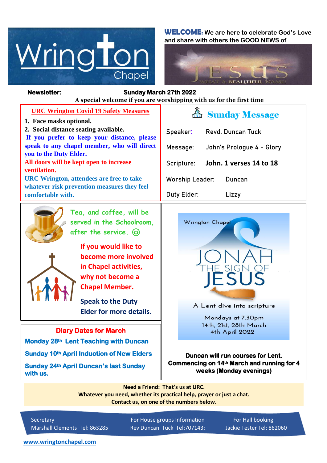

**WELCOME: We are here to celebrate God's Love and share with others the GOOD NEWS of**



#### *Figure 1ready steady* **A special welcome if you are worshipping with us for the first time Newsletter: Sunday March 27th 2022**

| <b>URC Wrington Covid 19 Safety Measures</b>                                                   | <b>A</b> Sunday Message               |
|------------------------------------------------------------------------------------------------|---------------------------------------|
| 1. Face masks optional.                                                                        |                                       |
| 2. Social distance seating available.                                                          | Speaker:<br><b>Revd. Duncan Tuck</b>  |
| If you prefer to keep your distance, please                                                    |                                       |
| speak to any chapel member, who will direct<br>you to the Duty Elder.                          | John's Prologue 4 - Glory<br>Message: |
| All doors will be kept open to increase                                                        |                                       |
| ventilation.                                                                                   | John. 1 verses 14 to 18<br>Scripture: |
| <b>URC Wrington, attendees are free to take</b><br>whatever risk prevention measures they feel | <b>Worship Leader:</b><br>Duncan      |
| comfortable with.                                                                              | Duty Elder:<br>Lizzy                  |
|                                                                                                |                                       |



**Tea, and coffee, will be served in the Schoolroom, after the service.** 



 **If you would like to become more involved in Chapel activities, why not become a Chapel Member.** 

**Speak to the Duty Elder for more details.**

#### **Diary Dates for March**

**Monday 28th Lent Teaching with Duncan** 

**Sunday 10th April Induction of New Elders** 

**Sunday 24th April Duncan's last Sunday with us.** 



A Lent dive into scripture

Mondays at 7.30pm 14th, 21st, 28th March 4th April 2022

**Duncan will run courses for Lent. Commencing on 14th March and running for 4 weeks (Monday evenings)**

**Need a Friend: That's us at URC. Whatever you need, whether its practical help, prayer or just a chat. Contact us, on one of the numbers below.**

Secretary **For House groups Information** For Hall booking Marshall Clements Tel: 863285 Rev Duncan Tuck Tel:707143: Jackie Tester Tel: 862060

**[www.wringtonchapel.com](http://www.wringtonchapel.com/)**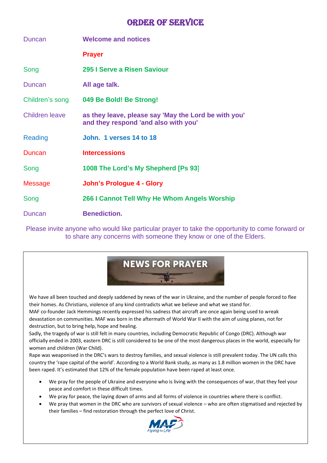## **ORDER OF SERVICE**

| <b>Duncan</b>         | <b>Welcome and notices</b>                                                                   |
|-----------------------|----------------------------------------------------------------------------------------------|
|                       | <b>Prayer</b>                                                                                |
| Song                  | 295 I Serve a Risen Saviour                                                                  |
| Duncan                | All age talk.                                                                                |
| Children's song       | 049 Be Bold! Be Strong!                                                                      |
| <b>Children leave</b> | as they leave, please say 'May the Lord be with you'<br>and they respond 'and also with you' |
| Reading               | John. 1 verses 14 to 18                                                                      |
| Duncan                | <b>Intercessions</b>                                                                         |
| Song                  | 1008 The Lord's My Shepherd [Ps 93]                                                          |
| <b>Message</b>        | <b>John's Prologue 4 - Glory</b>                                                             |
| Song                  | 266 I Cannot Tell Why He Whom Angels Worship                                                 |
| Duncan                | <b>Benediction.</b>                                                                          |

Please invite anyone who would like particular prayer to take the opportunity to come forward or to share any concerns with someone they know or one of the Elders.

# **NEWS FOR PRAYER**

We have all been touched and deeply saddened by news of the war in Ukraine, and the number of people forced to flee their homes. As Christians, violence of any kind contradicts what we believe and what we stand for. MAF co-founder Jack Hemmings recently expressed his sadness that aircraft are once again being used to wreak

devastation on communities. MAF was born in the aftermath of World War II with the aim of using planes, not for destruction, but to bring help, hope and healing.

Sadly, the tragedy of war is still felt in many countries, including Democratic Republic of Congo (DRC). Although war officially ended in 2003, eastern DRC is still considered to be one of the most dangerous places in the world, especially for women and children (War Child).

Rape was weaponised in the DRC's wars to destroy families, and sexual violence is still prevalent today. The UN calls this country the 'rape capital of the world'. According to a World Bank study, as many as 1.8 million women in the DRC have been raped. It's estimated that 12% of the female population have been raped at least once.

- We pray for the people of Ukraine and everyone who is living with the consequences of war, that they feel your peace and comfort in these difficult times.
- We pray for peace, the laying down of arms and all forms of violence in countries where there is conflict.
- We pray that women in the DRC who are survivors of sexual violence who are often stigmatised and rejected by their families – find restoration through the perfect love of Christ.